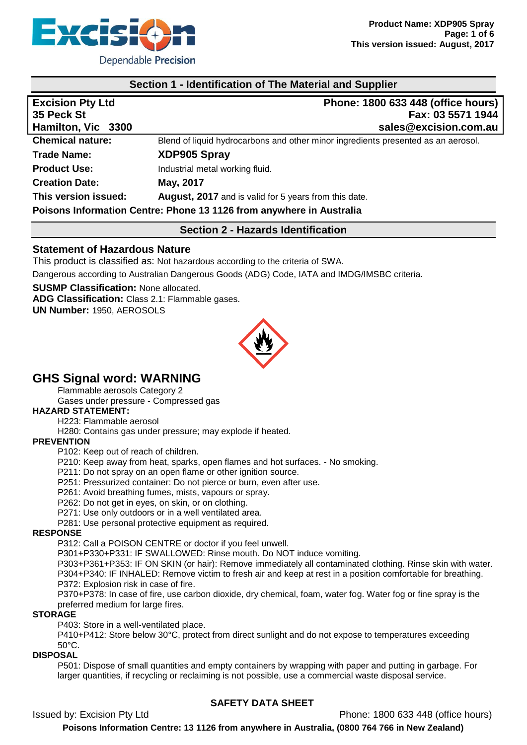

#### **Section 1 - Identification of The Material and Supplier**

| <b>Excision Pty Ltd</b><br>35 Peck St<br>Hamilton, Vic 3300 | Phone: 1800 633 448 (office hours)<br>Fax: 03 5571 1944<br>sales@excision.com.au  |
|-------------------------------------------------------------|-----------------------------------------------------------------------------------|
| <b>Chemical nature:</b>                                     | Blend of liquid hydrocarbons and other minor ingredients presented as an aerosol. |
| <b>Trade Name:</b>                                          | XDP905 Spray                                                                      |
| <b>Product Use:</b>                                         | Industrial metal working fluid.                                                   |
| <b>Creation Date:</b>                                       | May, 2017                                                                         |
| This version issued:                                        | <b>August, 2017</b> and is valid for 5 years from this date.                      |
|                                                             | Poisons Information Centre: Phone 13 1126 from anywhere in Australia              |

# **Section 2 - Hazards Identification**

#### **Statement of Hazardous Nature**

This product is classified as: Not hazardous according to the criteria of SWA. Dangerous according to Australian Dangerous Goods (ADG) Code, IATA and IMDG/IMSBC criteria.

**SUSMP Classification:** None allocated.

**ADG Classification:** Class 2.1: Flammable gases.

**UN Number:** 1950, AEROSOLS



## **GHS Signal word: WARNING**

Flammable aerosols Category 2

Gases under pressure - Compressed gas

#### **HAZARD STATEMENT:**

H223: Flammable aerosol

H280: Contains gas under pressure; may explode if heated.

#### **PREVENTION**

P102: Keep out of reach of children.

P210: Keep away from heat, sparks, open flames and hot surfaces. - No smoking.

P211: Do not spray on an open flame or other ignition source.

P251: Pressurized container: Do not pierce or burn, even after use.

P261: Avoid breathing fumes, mists, vapours or spray.

P262: Do not get in eyes, on skin, or on clothing.

P271: Use only outdoors or in a well ventilated area.

P281: Use personal protective equipment as required.

#### **RESPONSE**

P312: Call a POISON CENTRE or doctor if you feel unwell.

P301+P330+P331: IF SWALLOWED: Rinse mouth. Do NOT induce vomiting.

P303+P361+P353: IF ON SKIN (or hair): Remove immediately all contaminated clothing. Rinse skin with water. P304+P340: IF INHALED: Remove victim to fresh air and keep at rest in a position comfortable for breathing. P372: Explosion risk in case of fire.

P370+P378: In case of fire, use carbon dioxide, dry chemical, foam, water fog. Water fog or fine spray is the preferred medium for large fires.

#### **STORAGE**

P403: Store in a well-ventilated place.

P410+P412: Store below 30°C, protect from direct sunlight and do not expose to temperatures exceeding 50°C.

#### **DISPOSAL**

P501: Dispose of small quantities and empty containers by wrapping with paper and putting in garbage. For larger quantities, if recycling or reclaiming is not possible, use a commercial waste disposal service.

## **SAFETY DATA SHEET**

Issued by: Excision Pty Ltd Phone: 1800 633 448 (office hours)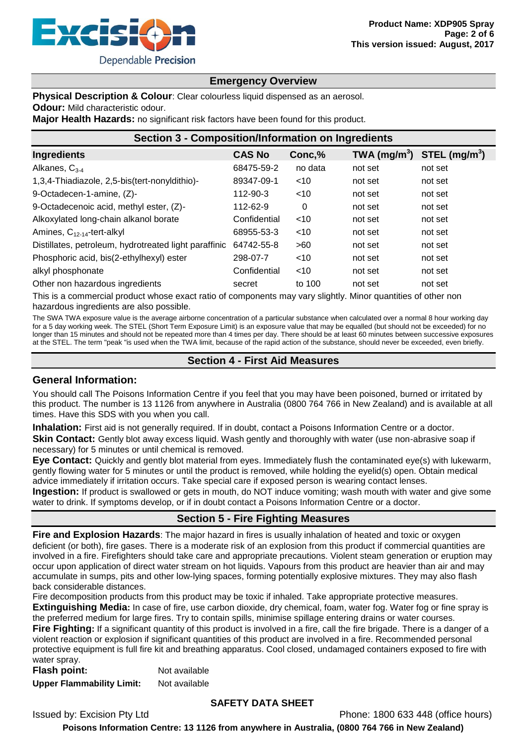

#### **Emergency Overview**

**Physical Description & Colour:** Clear colourless liquid dispensed as an aerosol. **Odour:** Mild characteristic odour.

**Major Health Hazards:** no significant risk factors have been found for this product.

| <b>Section 3 - Composition/Information on Ingredients</b> |               |         |                                                    |         |  |
|-----------------------------------------------------------|---------------|---------|----------------------------------------------------|---------|--|
| Ingredients                                               | <b>CAS No</b> | Conc,%  | TWA (mg/m <sup>3</sup> ) STEL (mg/m <sup>3</sup> ) |         |  |
| Alkanes, $C_{3-4}$                                        | 68475-59-2    | no data | not set                                            | not set |  |
| 1,3,4-Thiadiazole, 2,5-bis(tert-nonyldithio)-             | 89347-09-1    | $<$ 10  | not set                                            | not set |  |
| 9-Octadecen-1-amine, (Z)-                                 | 112-90-3      | $<$ 10  | not set                                            | not set |  |
| 9-Octadecenoic acid, methyl ester, (Z)-                   | 112-62-9      | 0       | not set                                            | not set |  |
| Alkoxylated long-chain alkanol borate                     | Confidential  | $<$ 10  | not set                                            | not set |  |
| Amines, $C_{12-14}$ -tert-alkyl                           | 68955-53-3    | $<$ 10  | not set                                            | not set |  |
| Distillates, petroleum, hydrotreated light paraffinic     | 64742-55-8    | >60     | not set                                            | not set |  |
| Phosphoric acid, bis(2-ethylhexyl) ester                  | 298-07-7      | $<$ 10  | not set                                            | not set |  |
| alkyl phosphonate                                         | Confidential  | $<$ 10  | not set                                            | not set |  |
| Other non hazardous ingredients                           | secret        | to 100  | not set                                            | not set |  |

This is a commercial product whose exact ratio of components may vary slightly. Minor quantities of other non hazardous ingredients are also possible.

The SWA TWA exposure value is the average airborne concentration of a particular substance when calculated over a normal 8 hour working day for a 5 day working week. The STEL (Short Term Exposure Limit) is an exposure value that may be equalled (but should not be exceeded) for no longer than 15 minutes and should not be repeated more than 4 times per day. There should be at least 60 minutes between successive exposures at the STEL. The term "peak "is used when the TWA limit, because of the rapid action of the substance, should never be exceeded, even briefly.

#### **Section 4 - First Aid Measures**

#### **General Information:**

You should call The Poisons Information Centre if you feel that you may have been poisoned, burned or irritated by this product. The number is 13 1126 from anywhere in Australia (0800 764 766 in New Zealand) and is available at all times. Have this SDS with you when you call.

**Inhalation:** First aid is not generally required. If in doubt, contact a Poisons Information Centre or a doctor. **Skin Contact:** Gently blot away excess liquid. Wash gently and thoroughly with water (use non-abrasive soap if necessary) for 5 minutes or until chemical is removed.

**Eye Contact:** Quickly and gently blot material from eyes. Immediately flush the contaminated eye(s) with lukewarm, gently flowing water for 5 minutes or until the product is removed, while holding the eyelid(s) open. Obtain medical advice immediately if irritation occurs. Take special care if exposed person is wearing contact lenses.

**Ingestion:** If product is swallowed or gets in mouth, do NOT induce vomiting; wash mouth with water and give some water to drink. If symptoms develop, or if in doubt contact a Poisons Information Centre or a doctor.

## **Section 5 - Fire Fighting Measures**

**Fire and Explosion Hazards**: The major hazard in fires is usually inhalation of heated and toxic or oxygen deficient (or both), fire gases. There is a moderate risk of an explosion from this product if commercial quantities are involved in a fire. Firefighters should take care and appropriate precautions. Violent steam generation or eruption may occur upon application of direct water stream on hot liquids. Vapours from this product are heavier than air and may accumulate in sumps, pits and other low-lying spaces, forming potentially explosive mixtures. They may also flash back considerable distances.

Fire decomposition products from this product may be toxic if inhaled. Take appropriate protective measures.

**Extinguishing Media:** In case of fire, use carbon dioxide, dry chemical, foam, water fog. Water fog or fine spray is the preferred medium for large fires. Try to contain spills, minimise spillage entering drains or water courses. **Fire Fighting:** If a significant quantity of this product is involved in a fire, call the fire brigade. There is a danger of a violent reaction or explosion if significant quantities of this product are involved in a fire. Recommended personal

protective equipment is full fire kit and breathing apparatus. Cool closed, undamaged containers exposed to fire with water spray.

**Flash point:** Not available **Upper Flammability Limit:** Not available

#### **SAFETY DATA SHEET**

Issued by: Excision Pty Ltd **Phone: 1800 633 448** (office hours) **Poisons Information Centre: 13 1126 from anywhere in Australia, (0800 764 766 in New Zealand)**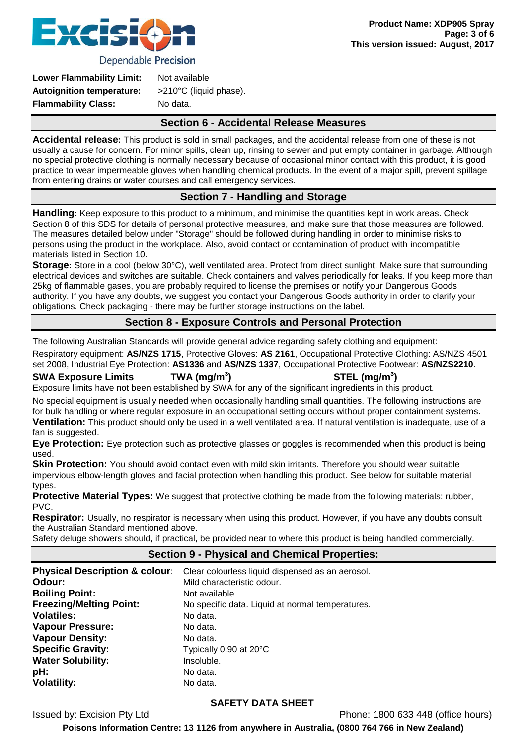

Dependable Precision

| Not available                    |  |
|----------------------------------|--|
| $>210^{\circ}$ C (liquid phase). |  |
| No data.                         |  |
|                                  |  |

#### **Section 6 - Accidental Release Measures**

**Accidental release:** This product is sold in small packages, and the accidental release from one of these is not usually a cause for concern. For minor spills, clean up, rinsing to sewer and put empty container in garbage. Although no special protective clothing is normally necessary because of occasional minor contact with this product, it is good practice to wear impermeable gloves when handling chemical products. In the event of a major spill, prevent spillage from entering drains or water courses and call emergency services.

## **Section 7 - Handling and Storage**

**Handling:** Keep exposure to this product to a minimum, and minimise the quantities kept in work areas. Check Section 8 of this SDS for details of personal protective measures, and make sure that those measures are followed. The measures detailed below under "Storage" should be followed during handling in order to minimise risks to persons using the product in the workplace. Also, avoid contact or contamination of product with incompatible materials listed in Section 10.

**Storage:** Store in a cool (below 30°C), well ventilated area. Protect from direct sunlight. Make sure that surrounding electrical devices and switches are suitable. Check containers and valves periodically for leaks. If you keep more than 25kg of flammable gases, you are probably required to license the premises or notify your Dangerous Goods authority. If you have any doubts, we suggest you contact your Dangerous Goods authority in order to clarify your obligations. Check packaging - there may be further storage instructions on the label.

## **Section 8 - Exposure Controls and Personal Protection**

The following Australian Standards will provide general advice regarding safety clothing and equipment:

Respiratory equipment: **AS/NZS 1715**, Protective Gloves: **AS 2161**, Occupational Protective Clothing: AS/NZS 4501 set 2008, Industrial Eye Protection: **AS1336** and **AS/NZS 1337**, Occupational Protective Footwear: **AS/NZS2210**.

**SWA Exposure Limits TWA (mg/m<sup>3</sup>**

**) STEL (mg/m<sup>3</sup> )**

Exposure limits have not been established by SWA for any of the significant ingredients in this product.

No special equipment is usually needed when occasionally handling small quantities. The following instructions are for bulk handling or where regular exposure in an occupational setting occurs without proper containment systems.

**Ventilation:** This product should only be used in a well ventilated area. If natural ventilation is inadequate, use of a fan is suggested.

**Eye Protection:** Eye protection such as protective glasses or goggles is recommended when this product is being used.

**Skin Protection:** You should avoid contact even with mild skin irritants. Therefore you should wear suitable impervious elbow-length gloves and facial protection when handling this product. See below for suitable material types.

**Protective Material Types:** We suggest that protective clothing be made from the following materials: rubber, PVC.

**Respirator:** Usually, no respirator is necessary when using this product. However, if you have any doubts consult the Australian Standard mentioned above.

Safety deluge showers should, if practical, be provided near to where this product is being handled commercially.

#### **Section 9 - Physical and Chemical Properties:**

| <b>Physical Description &amp; colour:</b> | Clear colourless liquid dispensed as an aerosol. |
|-------------------------------------------|--------------------------------------------------|
| Odour:                                    | Mild characteristic odour.                       |
| <b>Boiling Point:</b>                     | Not available.                                   |
| <b>Freezing/Melting Point:</b>            | No specific data. Liquid at normal temperatures. |
| <b>Volatiles:</b>                         | No data.                                         |
| <b>Vapour Pressure:</b>                   | No data.                                         |
| <b>Vapour Density:</b>                    | No data.                                         |
| <b>Specific Gravity:</b>                  | Typically 0.90 at 20°C                           |
| <b>Water Solubility:</b>                  | Insoluble.                                       |
| pH:                                       | No data.                                         |
| <b>Volatility:</b>                        | No data.                                         |

## **SAFETY DATA SHEET**

Issued by: Excision Pty Ltd Phone: 1800 633 448 (office hours)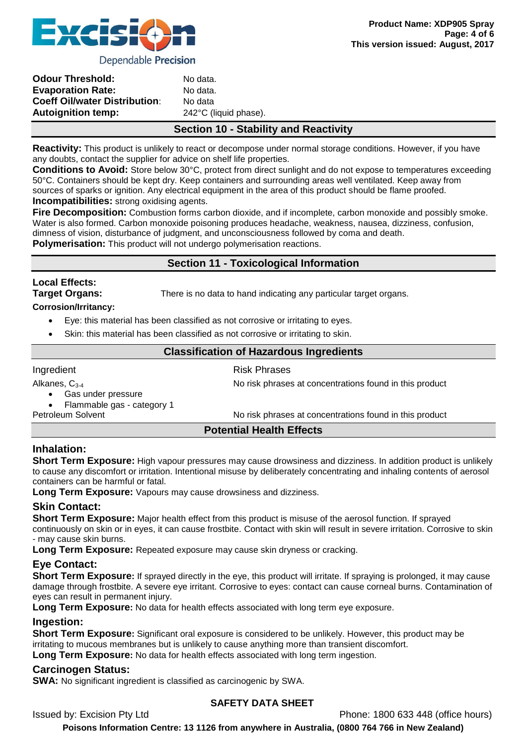

**Product Name: XDP905 Spray**

**Page: 4 of 6**

| <b>Odour Threshold:</b>              | No data.              |
|--------------------------------------|-----------------------|
| <b>Evaporation Rate:</b>             | No data.              |
| <b>Coeff Oil/water Distribution:</b> | No data               |
| <b>Autoignition temp:</b>            | 242°C (liquid phase). |
|                                      |                       |

## **Section 10 - Stability and Reactivity**

**Reactivity:** This product is unlikely to react or decompose under normal storage conditions. However, if you have any doubts, contact the supplier for advice on shelf life properties.

**Conditions to Avoid:** Store below 30°C, protect from direct sunlight and do not expose to temperatures exceeding 50°C. Containers should be kept dry. Keep containers and surrounding areas well ventilated. Keep away from sources of sparks or ignition. Any electrical equipment in the area of this product should be flame proofed. **Incompatibilities:** strong oxidising agents.

**Fire Decomposition:** Combustion forms carbon dioxide, and if incomplete, carbon monoxide and possibly smoke. Water is also formed. Carbon monoxide poisoning produces headache, weakness, nausea, dizziness, confusion, dimness of vision, disturbance of judgment, and unconsciousness followed by coma and death.

**Polymerisation:** This product will not undergo polymerisation reactions.

## **Section 11 - Toxicological Information**

# **Local Effects: Corrosion/Irritancy:**

**Target Organs:** There is no data to hand indicating any particular target organs.

- - Eye: this material has been classified as not corrosive or irritating to eyes.
	- Skin: this material has been classified as not corrosive or irritating to skin.

## **Classification of Hazardous Ingredients**

#### Ingredient **Risk Phrases** Alkanes, C<sub>3-4</sub> No risk phrases at concentrations found in this product Gas under pressure • Flammable gas - category 1<br>Petroleum Solvent No risk phrases at concentrations found in this product

#### **Potential Health Effects**

## **Inhalation:**

**Short Term Exposure:** High vapour pressures may cause drowsiness and dizziness. In addition product is unlikely to cause any discomfort or irritation. Intentional misuse by deliberately concentrating and inhaling contents of aerosol containers can be harmful or fatal.

**Long Term Exposure:** Vapours may cause drowsiness and dizziness.

## **Skin Contact:**

**Short Term Exposure:** Major health effect from this product is misuse of the aerosol function. If sprayed continuously on skin or in eyes, it can cause frostbite. Contact with skin will result in severe irritation. Corrosive to skin

- may cause skin burns.

**Long Term Exposure:** Repeated exposure may cause skin dryness or cracking.

## **Eye Contact:**

**Short Term Exposure:** If sprayed directly in the eye, this product will irritate. If spraying is prolonged, it may cause damage through frostbite. A severe eye irritant. Corrosive to eyes: contact can cause corneal burns. Contamination of eyes can result in permanent injury.

**Long Term Exposure:** No data for health effects associated with long term eye exposure.

## **Ingestion:**

**Short Term Exposure:** Significant oral exposure is considered to be unlikely. However, this product may be irritating to mucous membranes but is unlikely to cause anything more than transient discomfort.

**Long Term Exposure:** No data for health effects associated with long term ingestion.

## **Carcinogen Status:**

**SWA:** No significant ingredient is classified as carcinogenic by SWA.

## **SAFETY DATA SHEET**

Issued by: Excision Pty Ltd **Phone: 1800 633 448** (office hours)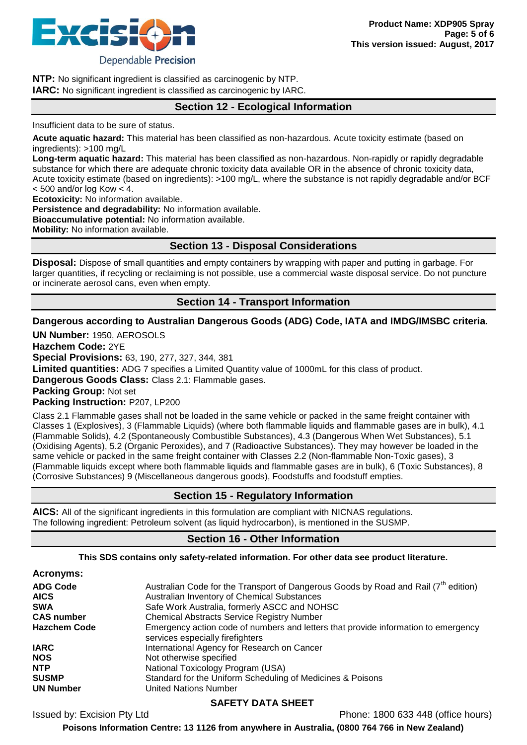

**NTP:** No significant ingredient is classified as carcinogenic by NTP. **IARC:** No significant ingredient is classified as carcinogenic by IARC.

#### **Section 12 - Ecological Information**

Insufficient data to be sure of status.

**Acute aquatic hazard:** This material has been classified as non-hazardous. Acute toxicity estimate (based on ingredients): >100 mg/L

**Long-term aquatic hazard:** This material has been classified as non-hazardous. Non-rapidly or rapidly degradable substance for which there are adequate chronic toxicity data available OR in the absence of chronic toxicity data, Acute toxicity estimate (based on ingredients): >100 mg/L, where the substance is not rapidly degradable and/or BCF  $<$  500 and/or log Kow  $<$  4.

**Ecotoxicity:** No information available. **Persistence and degradability:** No information available. **Bioaccumulative potential:** No information available.

**Mobility:** No information available.

**Section 13 - Disposal Considerations**

**Disposal:** Dispose of small quantities and empty containers by wrapping with paper and putting in garbage. For larger quantities, if recycling or reclaiming is not possible, use a commercial waste disposal service. Do not puncture or incinerate aerosol cans, even when empty.

#### **Section 14 - Transport Information**

#### **Dangerous according to Australian Dangerous Goods (ADG) Code, IATA and IMDG/IMSBC criteria.**

**UN Number:** 1950, AEROSOLS

**Hazchem Code:** 2YE **Special Provisions:** 63, 190, 277, 327, 344, 381

**Limited quantities:** ADG 7 specifies a Limited Quantity value of 1000mL for this class of product.

**Dangerous Goods Class:** Class 2.1: Flammable gases.

**Packing Group:** Not set

**Packing Instruction:** P207, LP200

Class 2.1 Flammable gases shall not be loaded in the same vehicle or packed in the same freight container with Classes 1 (Explosives), 3 (Flammable Liquids) (where both flammable liquids and flammable gases are in bulk), 4.1 (Flammable Solids), 4.2 (Spontaneously Combustible Substances), 4.3 (Dangerous When Wet Substances), 5.1 (Oxidising Agents), 5.2 (Organic Peroxides), and 7 (Radioactive Substances). They may however be loaded in the same vehicle or packed in the same freight container with Classes 2.2 (Non-flammable Non-Toxic gases), 3 (Flammable liquids except where both flammable liquids and flammable gases are in bulk), 6 (Toxic Substances), 8 (Corrosive Substances) 9 (Miscellaneous dangerous goods), Foodstuffs and foodstuff empties.

## **Section 15 - Regulatory Information**

**AICS:** All of the significant ingredients in this formulation are compliant with NICNAS regulations. The following ingredient: Petroleum solvent (as liquid hydrocarbon), is mentioned in the SUSMP.

## **Section 16 - Other Information**

#### **This SDS contains only safety-related information. For other data see product literature.**

| <b>Acronyms:</b>    |                                                                                                                        |
|---------------------|------------------------------------------------------------------------------------------------------------------------|
| <b>ADG Code</b>     | Australian Code for the Transport of Dangerous Goods by Road and Rail (7 <sup>th</sup> edition)                        |
| <b>AICS</b>         | Australian Inventory of Chemical Substances                                                                            |
| <b>SWA</b>          | Safe Work Australia, formerly ASCC and NOHSC                                                                           |
| <b>CAS number</b>   | <b>Chemical Abstracts Service Registry Number</b>                                                                      |
| <b>Hazchem Code</b> | Emergency action code of numbers and letters that provide information to emergency<br>services especially firefighters |
| <b>IARC</b>         | International Agency for Research on Cancer                                                                            |
| <b>NOS</b>          | Not otherwise specified                                                                                                |
| <b>NTP</b>          | National Toxicology Program (USA)                                                                                      |
| <b>SUSMP</b>        | Standard for the Uniform Scheduling of Medicines & Poisons                                                             |
| <b>UN Number</b>    | <b>United Nations Number</b>                                                                                           |

## **SAFETY DATA SHEET**

Issued by: Excision Pty Ltd Phone: 1800 633 448 (office hours)